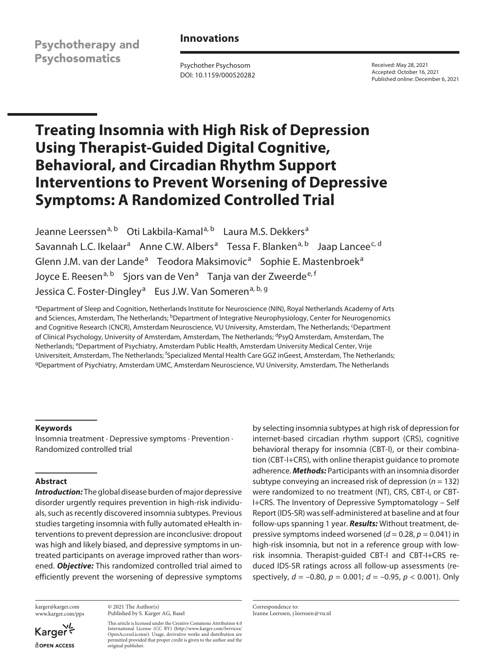**Psychotherapy and Psychosomatics** 

# **Innovations**

Psychother Psychosom DOI: 10.1159/000520282 Received: May 28, 2021 Accepted: October 16, 2021 Published online: December 6, 2021

# **Treating Insomnia with High Risk of Depression Using Therapist-Guided Digital Cognitive, Behavioral, and Circadian Rhythm Support Interventions to Prevent Worsening of Depressive Symptoms: A Randomized Controlled Trial**

Jeanne Leerssen<sup>a, b</sup> Oti Lakbila-Kamal<sup>a, b</sup> Laura M.S. Dekkers<sup>a</sup> Savannah L.C. Ikelaar<sup>a</sup> Anne C.W. Albers<sup>a</sup> Tessa F. Blanken<sup>a, b</sup> Jaap Lancee<sup>c, d</sup> Glenn J.M. van der Lande<sup>a</sup> Teodora Maksimovic<sup>a</sup> Sophie E. Mastenbroek<sup>a</sup> Joyce E. Reesen<sup>a, b</sup> Sjors van de Ven<sup>a</sup> Tanja van der Zweerde<sup>e, f</sup> Jessica C. Foster-Dingley<sup>a</sup> Eus J.W. Van Someren<sup>a, b, g</sup>

a Department of Sleep and Cognition, Netherlands Institute for Neuroscience (NIN), Royal Netherlands Academy of Arts and Sciences, Amsterdam, The Netherlands; <sup>b</sup>Department of Integrative Neurophysiology, Center for Neurogenomics and Cognitive Research (CNCR), Amsterdam Neuroscience, VU University, Amsterdam, The Netherlands; <sup>c</sup>Department of Clinical Psychology, University of Amsterdam, Amsterdam, The Netherlands; <sup>d</sup>PsyQ Amsterdam, Amsterdam, The Netherlands; <sup>e</sup>Department of Psychiatry, Amsterdam Public Health, Amsterdam University Medical Center, Vrije Universiteit, Amsterdam, The Netherlands; <sup>f</sup>Specialized Mental Health Care GGZ inGeest, Amsterdam, The Netherlands; <sup>g</sup>Department of Psychiatry, Amsterdam UMC, Amsterdam Neuroscience, VU University, Amsterdam, The Netherlands

## **Keywords**

Insomnia treatment · Depressive symptoms · Prevention · Randomized controlled trial

#### **Abstract**

*Introduction:* The global disease burden of major depressive disorder urgently requires prevention in high-risk individuals, such as recently discovered insomnia subtypes. Previous studies targeting insomnia with fully automated eHealth interventions to prevent depression are inconclusive: dropout was high and likely biased, and depressive symptoms in untreated participants on average improved rather than worsened. *Objective:* This randomized controlled trial aimed to efficiently prevent the worsening of depressive symptoms

karger@karger.com www.karger.com/pps

Karger **ROPEN ACCESS** 

© 2021 The Author(s) Published by S. Karger AG, Basel

This article is licensed under the Creative Commons Attribution 4.0 International License (CC BY) (http://www.karger.com/Services/ OpenAccessLicense). Usage, derivative works and distribution are permitted provided that proper credit is given to the author and the original publisher.

by selecting insomnia subtypes at high risk of depression for internet-based circadian rhythm support (CRS), cognitive behavioral therapy for insomnia (CBT-I), or their combination (CBT-I+CRS), with online therapist guidance to promote adherence. *Methods:* Participants with an insomnia disorder subtype conveying an increased risk of depression (*n* = 132) were randomized to no treatment (NT), CRS, CBT-I, or CBT-I+CRS. The Inventory of Depressive Symptomatology – Self Report (IDS-SR) was self-administered at baseline and at four follow-ups spanning 1 year. *Results:* Without treatment, depressive symptoms indeed worsened (*d* = 0.28, *p* = 0.041) in high-risk insomnia, but not in a reference group with lowrisk insomnia. Therapist-guided CBT-I and CBT-I+CRS reduced IDS-SR ratings across all follow-up assessments (respectively, *d* = –0.80, *p* = 0.001; *d* = –0.95, *p* < 0.001). Only

Correspondence to: Jeanne Leerssen, j.leerssen@vu.nl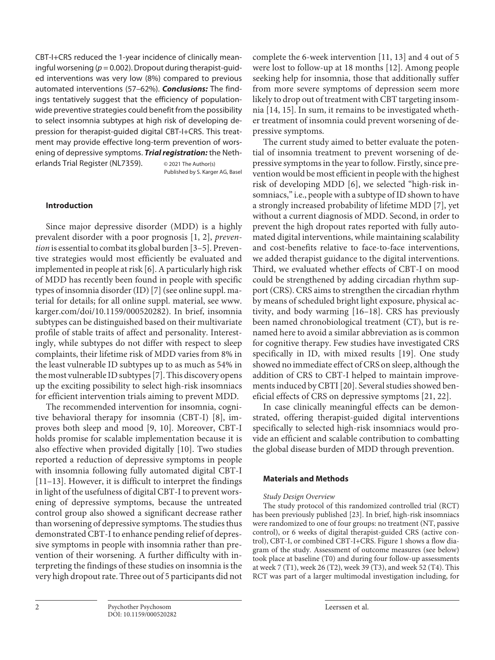CBT-I+CRS reduced the 1-year incidence of clinically meaningful worsening (*p* = 0.002). Dropout during therapist-guided interventions was very low (8%) compared to previous automated interventions (57–62%). *Conclusions:* The findings tentatively suggest that the efficiency of populationwide preventive strategies could benefit from the possibility to select insomnia subtypes at high risk of developing depression for therapist-guided digital CBT-I+CRS. This treatment may provide effective long-term prevention of worsening of depressive symptoms. *Trial registration:* the Netherlands Trial Register (NL7359). © 2021 The Author(s)

Published by S. Karger AG, Basel

#### **Introduction**

Since major depressive disorder (MDD) is a highly prevalent disorder with a poor prognosis [1, 2], *prevention* is essential to combat its global burden [3–5]. Preventive strategies would most efficiently be evaluated and implemented in people at risk [6]. A particularly high risk of MDD has recently been found in people with specific types of insomnia disorder (ID) [7] (see online suppl. material for details; for all online suppl. material, see www. karger.com/doi/10.1159/000520282). In brief, insomnia subtypes can be distinguished based on their multivariate profile of stable traits of affect and personality. Interestingly, while subtypes do not differ with respect to sleep complaints, their lifetime risk of MDD varies from 8% in the least vulnerable ID subtypes up to as much as 54% in the most vulnerable ID subtypes [7]. This discovery opens up the exciting possibility to select high-risk insomniacs for efficient intervention trials aiming to prevent MDD.

The recommended intervention for insomnia, cognitive behavioral therapy for insomnia (CBT-I) [8], improves both sleep and mood [9, 10]. Moreover, CBT-I holds promise for scalable implementation because it is also effective when provided digitally [10]. Two studies reported a reduction of depressive symptoms in people with insomnia following fully automated digital CBT-I [11–13]. However, it is difficult to interpret the findings in light of the usefulness of digital CBT-I to prevent worsening of depressive symptoms, because the untreated control group also showed a significant decrease rather than worsening of depressive symptoms. The studies thus demonstrated CBT-I to enhance pending relief of depressive symptoms in people with insomnia rather than prevention of their worsening. A further difficulty with interpreting the findings of these studies on insomnia is the very high dropout rate. Three out of 5 participants did not

complete the 6-week intervention [11, 13] and 4 out of 5 were lost to follow-up at 18 months [12]. Among people seeking help for insomnia, those that additionally suffer from more severe symptoms of depression seem more likely to drop out of treatment with CBT targeting insomnia [14, 15]. In sum, it remains to be investigated whether treatment of insomnia could prevent worsening of depressive symptoms.

The current study aimed to better evaluate the potential of insomnia treatment to prevent worsening of depressive symptoms in the year to follow. Firstly, since prevention would be most efficient in people with the highest risk of developing MDD [6], we selected "high-risk insomniacs," i.e., people with a subtype of ID shown to have a strongly increased probability of lifetime MDD [7], yet without a current diagnosis of MDD. Second, in order to prevent the high dropout rates reported with fully automated digital interventions, while maintaining scalability and cost-benefits relative to face-to-face interventions, we added therapist guidance to the digital interventions. Third, we evaluated whether effects of CBT-I on mood could be strengthened by adding circadian rhythm support (CRS). CRS aims to strengthen the circadian rhythm by means of scheduled bright light exposure, physical activity, and body warming [16–18]. CRS has previously been named chronobiological treatment (CT), but is renamed here to avoid a similar abbreviation as is common for cognitive therapy. Few studies have investigated CRS specifically in ID, with mixed results [19]. One study showed no immediate effect of CRS on sleep, although the addition of CRS to CBT-I helped to maintain improvements induced by CBTI [20]. Several studies showed beneficial effects of CRS on depressive symptoms [21, 22].

In case clinically meaningful effects can be demonstrated, offering therapist-guided digital interventions specifically to selected high-risk insomniacs would provide an efficient and scalable contribution to combatting the global disease burden of MDD through prevention.

#### **Materials and Methods**

#### *Study Design Overview*

The study protocol of this randomized controlled trial (RCT) has been previously published [23]. In brief, high-risk insomniacs were randomized to one of four groups: no treatment (NT, passive control), or 6 weeks of digital therapist-guided CRS (active control), CBT-I, or combined CBT-I+CRS. Figure 1 shows a flow diagram of the study. Assessment of outcome measures (see below) took place at baseline (T0) and during four follow-up assessments at week 7 (T1), week 26 (T2), week 39 (T3), and week 52 (T4). This RCT was part of a larger multimodal investigation including, for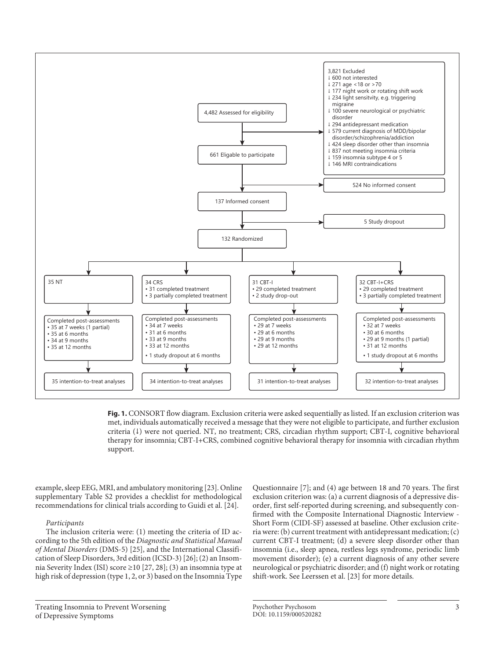

**Fig. 1.** CONSORT flow diagram. Exclusion criteria were asked sequentially as listed. If an exclusion criterion was met, individuals automatically received a message that they were not eligible to participate, and further exclusion criteria (↓) were not queried. NT, no treatment; CRS, circadian rhythm support; CBT-I, cognitive behavioral therapy for insomnia; CBT-I+CRS, combined cognitive behavioral therapy for insomnia with circadian rhythm support.

example, sleep EEG, MRI, and ambulatory monitoring [23]. Online supplementary Table S2 provides a checklist for methodological recommendations for clinical trials according to Guidi et al. [24].

## *Participants*

The inclusion criteria were: (1) meeting the criteria of ID according to the 5th edition of the *Diagnostic and Statistical Manual of Mental Disorders* (DMS-5) [25], and the International Classification of Sleep Disorders, 3rd edition (ICSD-3) [26]; (2) an Insomnia Severity Index (ISI) score ≥10 [27, 28]; (3) an insomnia type at high risk of depression (type 1, 2, or 3) based on the Insomnia Type

Questionnaire [7]; and (4) age between 18 and 70 years. The first exclusion criterion was: (a) a current diagnosis of a depressive disorder, first self-reported during screening, and subsequently confirmed with the Composite International Diagnostic Interview - Short Form (CIDI-SF) assessed at baseline. Other exclusion criteria were: (b) current treatment with antidepressant medication; (c) current CBT-I treatment; (d) a severe sleep disorder other than insomnia (i.e., sleep apnea, restless legs syndrome, periodic limb movement disorder); (e) a current diagnosis of any other severe neurological or psychiatric disorder; and (f) night work or rotating shift-work. See Leerssen et al. [23] for more details.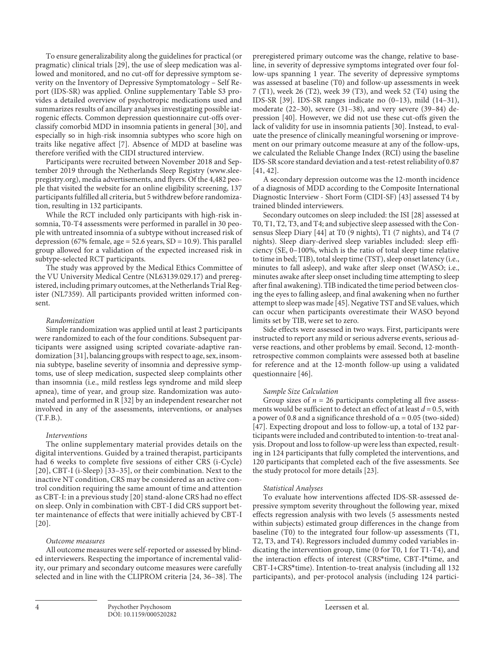To ensure generalizability along the guidelines for practical (or pragmatic) clinical trials [29], the use of sleep medication was allowed and monitored, and no cut-off for depressive symptom severity on the Inventory of Depressive Symptomatology – Self Report (IDS-SR) was applied. Online supplementary Table S3 provides a detailed overview of psychotropic medications used and summarizes results of ancillary analyses investigating possible iatrogenic effects. Common depression questionnaire cut-offs overclassify comorbid MDD in insomnia patients in general [30], and especially so in high-risk insomnia subtypes who score high on traits like negative affect [7]. Absence of MDD at baseline was therefore verified with the CIDI structured interview.

Participants were recruited between November 2018 and September 2019 through the Netherlands Sleep Registry (www.sleepregistry.org), media advertisements, and flyers. Of the 4,482 people that visited the website for an online eligibility screening, 137 participants fulfilled all criteria, but 5 withdrew before randomization, resulting in 132 participants.

While the RCT included only participants with high-risk insomnia, T0-T4 assessments were performed in parallel in 30 people with untreated insomnia of a subtype without increased risk of depression (67% female, age =  $52.6$  years, SD = 10.9). This parallel group allowed for a validation of the expected increased risk in subtype-selected RCT participants.

The study was approved by the Medical Ethics Committee of the VU University Medical Centre (NL63139.029.17) and preregistered, including primary outcomes, at the Netherlands Trial Register (NL7359). All participants provided written informed consent.

#### *Randomization*

Simple randomization was applied until at least 2 participants were randomized to each of the four conditions. Subsequent participants were assigned using scripted covariate-adaptive randomization [31], balancing groups with respect to age, sex, insomnia subtype, baseline severity of insomnia and depressive symptoms, use of sleep medication, suspected sleep complaints other than insomnia (i.e., mild restless legs syndrome and mild sleep apnea), time of year, and group size. Randomization was automated and performed in R [32] by an independent researcher not involved in any of the assessments, interventions, or analyses (T.F.B.).

#### *Interventions*

The online supplementary material provides details on the digital interventions. Guided by a trained therapist, participants had 6 weeks to complete five sessions of either CRS (i-Cycle) [20], CBT-I (i-Sleep) [33–35], or their combination. Next to the inactive NT condition, CRS may be considered as an active control condition requiring the same amount of time and attention as CBT-I: in a previous study [20] stand-alone CRS had no effect on sleep. Only in combination with CBT-I did CRS support better maintenance of effects that were initially achieved by CBT-I [20].

#### *Outcome measures*

All outcome measures were self-reported or assessed by blinded interviewers. Respecting the importance of incremental validity, our primary and secondary outcome measures were carefully selected and in line with the CLIPROM criteria [24, 36–38]. The preregistered primary outcome was the change, relative to baseline, in severity of depressive symptoms integrated over four follow-ups spanning 1 year. The severity of depressive symptoms was assessed at baseline (T0) and follow-up assessments in week 7 (T1), week 26 (T2), week 39 (T3), and week 52 (T4) using the IDS-SR [39]. IDS-SR ranges indicate no (0–13), mild (14–31), moderate (22–30), severe (31–38), and very severe (39–84) depression [40]. However, we did not use these cut-offs given the lack of validity for use in insomnia patients [30]. Instead, to evaluate the presence of clinically meaningful worsening or improvement on our primary outcome measure at any of the follow-ups, we calculated the Reliable Change Index (RCI) using the baseline IDS-SR score standard deviation and a test-retest reliability of 0.87 [41, 42].

A secondary depression outcome was the 12-month incidence of a diagnosis of MDD according to the Composite International Diagnostic Interview - Short Form (CIDI-SF) [43] assessed T4 by trained blinded interviewers.

Secondary outcomes on sleep included: the ISI [28] assessed at T0, T1, T2, T3, and T4; and subjective sleep assessed with the Consensus Sleep Diary [44] at T0 (9 nights), T1 (7 nights), and T4 (7 nights). Sleep diary-derived sleep variables included: sleep efficiency (SE, 0–100%, which is the ratio of total sleep time relative to time in bed; TIB), total sleep time (TST), sleep onset latency (i.e., minutes to fall asleep), and wake after sleep onset (WASO; i.e., minutes awake after sleep onset including time attempting to sleep after final awakening). TIB indicated the time period between closing the eyes to falling asleep, and final awakening when no further attempt to sleep was made [45]. Negative TST and SE values, which can occur when participants overestimate their WASO beyond limits set by TIB, were set to zero.

Side effects were assessed in two ways. First, participants were instructed to report any mild or serious adverse events, serious adverse reactions, and other problems by email. Second, 12-monthretrospective common complaints were assessed both at baseline for reference and at the 12-month follow-up using a validated questionnaire [46].

#### *Sample Size Calculation*

Group sizes of  $n = 26$  participants completing all five assessments would be sufficient to detect an effect of at least *d* = 0.5, with a power of 0.8 and a significance threshold of  $\alpha = 0.05$  (two-sided) [47]. Expecting dropout and loss to follow-up, a total of 132 participants were included and contributed to intention-to-treat analysis. Dropout and loss to follow-up were less than expected, resulting in 124 participants that fully completed the interventions, and 120 participants that completed each of the five assessments. See the study protocol for more details [23].

#### *Statistical Analyses*

To evaluate how interventions affected IDS-SR-assessed depressive symptom severity throughout the following year, mixed effects regression analysis with two levels (5 assessments nested within subjects) estimated group differences in the change from baseline (T0) to the integrated four follow-up assessments (T1, T2, T3, and T4). Regressors included dummy coded variables indicating the intervention group, time (0 for T0, 1 for T1-T4), and the interaction effects of interest (CRS\*time, CBT-I\*time, and CBT-I+CRS\*time). Intention-to-treat analysis (including all 132 participants), and per-protocol analysis (including 124 partici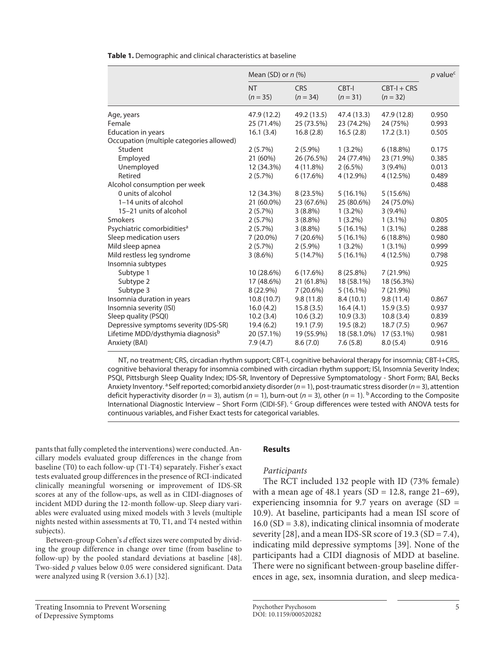**Table 1.** Demographic and clinical characteristics at baseline

|                                               | Mean (SD) or $n$ (%)    | $p$ value <sup>c</sup>   |                        |                             |       |
|-----------------------------------------------|-------------------------|--------------------------|------------------------|-----------------------------|-------|
|                                               | <b>NT</b><br>$(n = 35)$ | <b>CRS</b><br>$(n = 34)$ | CBT-I<br>$(n = 31)$    | $CBT-I + CRS$<br>$(n = 32)$ |       |
| Age, years                                    | 47.9 (12.2)             | 49.2 (13.5)              | 47.4 (13.3)            | 47.9 (12.8)                 | 0.950 |
| Female                                        | 25 (71.4%)              | 25 (73.5%)               | 23 (74.2%)             | 24 (75%)                    | 0.993 |
| Education in years                            | 16.1(3.4)<br>16.8(2.8)  |                          | 16.5(2.8)<br>17.2(3.1) |                             | 0.505 |
| Occupation (multiple categories allowed)      |                         |                          |                        |                             |       |
| Student                                       | 2(5.7%)                 | $2(5.9\%)$               | $1(3.2\%)$             | 6(18.8%)                    | 0.175 |
| Employed                                      | 21 (60%)                | 26 (76.5%)               | 24 (77.4%)             | 23 (71.9%)                  | 0.385 |
| Unemployed                                    | 12 (34.3%)              | 4 (11.8%)                | $2(6.5\%)$             | $3(9.4\%)$                  | 0.013 |
| Retired                                       | 2(5.7%)                 | 6(17.6%)                 | 4 (12.9%)              | 4 (12.5%)                   | 0.489 |
| Alcohol consumption per week                  |                         |                          |                        |                             | 0.488 |
| 0 units of alcohol                            | 12 (34.3%)              | 8 (23.5%)                | $5(16.1\%)$            | 5(15.6%)                    |       |
| 1-14 units of alcohol                         | 21 (60.0%)              | 23 (67.6%)               | 25 (80.6%)             | 24 (75.0%)                  |       |
| 15-21 units of alcohol                        | 2(5.7%)                 | $3(8.8\%)$               | $1(3.2\%)$             | $3(9.4\%)$                  |       |
| Smokers                                       | 2(5.7%)                 | $3(8.8\%)$               | $1(3.2\%)$             | $1(3.1\%)$                  | 0.805 |
| Psychiatric comorbidities <sup>a</sup>        | 2(5.7%)                 | $3(8.8\%)$               | $5(16.1\%)$            | $1(3.1\%)$                  | 0.288 |
| Sleep medication users                        | $7(20.0\%)$             | 7(20.6%)                 | $5(16.1\%)$            | 6(18.8%)                    | 0.980 |
| Mild sleep apnea                              | 2(5.7%)                 | $2(5.9\%)$               | $1(3.2\%)$             | $1(3.1\%)$                  | 0.999 |
| Mild restless leg syndrome                    | $3(8.6\%)$              | 5(14.7%)                 | $5(16.1\%)$            | 4 (12.5%)                   | 0.798 |
| Insomnia subtypes                             |                         |                          |                        |                             | 0.925 |
| Subtype 1                                     | 10 (28.6%)              | 6(17.6%)                 | $8(25.8\%)$            | 7 (21.9%)                   |       |
| Subtype 2                                     | 17 (48.6%)              | 21 (61.8%)               | 18 (58.1%)             | 18 (56.3%)                  |       |
| Subtype 3                                     | 8 (22.9%)               | 7(20.6%)                 | $5(16.1\%)$            | 7(21.9%)                    |       |
| Insomnia duration in years                    | 10.8(10.7)              | 9.8(11.8)                | 8.4(10.1)              | 9.8(11.4)                   | 0.867 |
| Insomnia severity (ISI)                       | 16.0(4.2)               | 15.8(3.5)                | 16.4(4.1)              | 15.9(3.5)                   | 0.937 |
| Sleep quality (PSQI)                          | 10.2(3.4)               | 10.6(3.2)                | 10.9(3.3)              | 10.8(3.4)                   | 0.839 |
| Depressive symptoms severity (IDS-SR)         | 19.4(6.2)               | 19.1(7.9)                | 19.5(8.2)              | 18.7(7.5)                   | 0.967 |
| Lifetime MDD/dysthymia diagnosis <sup>b</sup> | 20 (57.1%)              | 19 (55.9%)               | 18 (58.1.0%)           | 17 (53.1%)                  | 0.981 |
| Anxiety (BAI)                                 | 7.9(4.7)                | 8.6(7.0)                 | 7.6(5.8)               | 8.0(5.4)                    | 0.916 |

NT, no treatment; CRS, circadian rhythm support; CBT-I, cognitive behavioral therapy for insomnia; CBT-I+CRS, cognitive behavioral therapy for insomnia combined with circadian rhythm support; ISI, Insomnia Severity Index; PSQI, Pittsburgh Sleep Quality Index; IDS-SR, Inventory of Depressive Symptomatology - Short Form; BAI, Becks Anxiety Inventory. <sup>a</sup> Self reported; comorbid anxiety disorder (*n* = 1), post-traumatic stress disorder (*n* = 3), attention deficit hyperactivity disorder ( $n = 3$ ), autism ( $n = 1$ ), burn-out ( $n = 3$ ), other ( $n = 1$ ). <sup>b</sup> According to the Composite International Diagnostic Interview – Short Form (CIDI-SF). <sup>c</sup> Group differences were tested with ANOVA tests for continuous variables, and Fisher Exact tests for categorical variables.

pants that fully completed the interventions) were conducted. Ancillary models evaluated group differences in the change from baseline (T0) to each follow-up (T1-T4) separately. Fisher's exact tests evaluated group differences in the presence of RCI-indicated clinically meaningful worsening or improvement of IDS-SR scores at any of the follow-ups, as well as in CIDI-diagnoses of incident MDD during the 12-month follow-up. Sleep diary variables were evaluated using mixed models with 3 levels (multiple nights nested within assessments at T0, T1, and T4 nested within subjects).

Between-group Cohen's *d* effect sizes were computed by dividing the group difference in change over time (from baseline to follow-up) by the pooled standard deviations at baseline [48]. Two-sided *p* values below 0.05 were considered significant. Data were analyzed using R (version 3.6.1) [32].

Treating Insomnia to Prevent Worsening of Depressive Symptoms

# **Results**

# *Participants*

The RCT included 132 people with ID (73% female) with a mean age of 48.1 years (SD = 12.8, range 21-69), experiencing insomnia for 9.7 years on average  $(SD =$ 10.9). At baseline, participants had a mean ISI score of 16.0 (SD = 3.8), indicating clinical insomnia of moderate severity [28], and a mean IDS-SR score of 19.3 (SD = 7.4), indicating mild depressive symptoms [39]. None of the participants had a CIDI diagnosis of MDD at baseline. There were no significant between-group baseline differences in age, sex, insomnia duration, and sleep medica-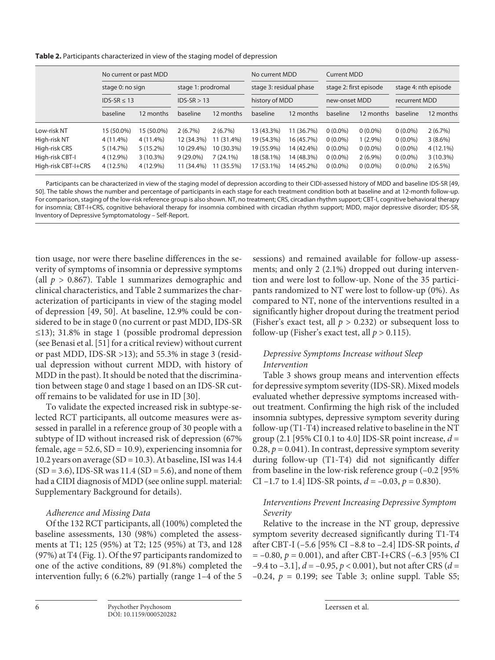**Table 2.** Participants characterized in view of the staging model of depression

|                     | No current or past MDD               |             |                                     |             | No current MDD                            |            | <b>Current MDD</b>                      |            |                                       |             |
|---------------------|--------------------------------------|-------------|-------------------------------------|-------------|-------------------------------------------|------------|-----------------------------------------|------------|---------------------------------------|-------------|
|                     | stage 0: no sign<br>$IDS-SR \leq 13$ |             | stage 1: prodromal<br>$IDS-SR > 13$ |             | stage 3: residual phase<br>history of MDD |            | stage 2: first episode<br>new-onset MDD |            | stage 4: nth episode<br>recurrent MDD |             |
|                     |                                      |             |                                     |             |                                           |            |                                         |            |                                       |             |
|                     | baseline                             | 12 months   | baseline                            | 12 months   | baseline                                  | 12 months  | baseline                                | 12 months  | baseline                              | 12 months   |
| Low-risk NT         | 15 (50.0%)                           | 15 (50.0%)  | 2(6.7%)                             | 2(6.7%)     | 13 (43.3%)                                | 11 (36.7%) | $0(0.0\%)$                              | $0(0.0\%)$ | $0(0.0\%)$                            | 2(6.7%)     |
| High-risk NT        | $4(11.4\%)$                          | $4(11.4\%)$ | 12 (34.3%)                          | 11 (31.4%)  | 19 (54.3%)                                | 16 (45.7%) | $0(0.0\%)$                              | $1(2.9\%)$ | $0(0.0\%)$                            | $3(8.6\%)$  |
| High-risk CRS       | 5(14.7%)                             | $5(15.2\%)$ | 10 (29.4%)                          | 10 (30.3%)  | 19 (55.9%)                                | 14 (42.4%) | $0(0.0\%)$                              | $0(0.0\%)$ | $0(0.0\%)$                            | $4(12.1\%)$ |
| High-risk CBT-I     | 4 (12.9%)                            | $3(10.3\%)$ | $9(29.0\%)$                         | $7(24.1\%)$ | 18 (58.1%)                                | 14 (48.3%) | $0(0.0\%)$                              | $2(6.9\%)$ | $0(0.0\%)$                            | $3(10.3\%)$ |
| High-risk CBT-I+CRS | 4 (12.5%)                            | 4 (12.9%)   | 11 (34.4%)                          | 11 (35.5%)  | 17 (53.1%)                                | 14 (45.2%) | $0(0.0\%)$                              | $0(0.0\%)$ | $0(0.0\%)$                            | $2(6.5\%)$  |

Participants can be characterized in view of the staging model of depression according to their CIDI-assessed history of MDD and baseline IDS-SR [49, 50]. The table shows the number and percentage of participants in each stage for each treatment condition both at baseline and at 12-month follow-up. For comparison, staging of the low-risk reference group is also shown. NT, no treatment; CRS, circadian rhythm support; CBT-I, cognitive behavioral therapy for insomnia; CBT-I+CRS, cognitive behavioral therapy for insomnia combined with circadian rhythm support; MDD, major depressive disorder; IDS-SR, Inventory of Depressive Symptomatology – Self-Report.

tion usage, nor were there baseline differences in the severity of symptoms of insomnia or depressive symptoms (all  $p > 0.867$ ). Table 1 summarizes demographic and clinical characteristics, and Table 2 summarizes the characterization of participants in view of the staging model of depression [49, 50]. At baseline, 12.9% could be considered to be in stage 0 (no current or past MDD, IDS-SR  $\leq$ 13); 31.8% in stage 1 (possible prodromal depression (see Benasi et al. [51] for a critical review) without current or past MDD, IDS-SR >13); and 55.3% in stage 3 (residual depression without current MDD, with history of MDD in the past). It should be noted that the discrimination between stage 0 and stage 1 based on an IDS-SR cutoff remains to be validated for use in ID [30].

To validate the expected increased risk in subtype-selected RCT participants, all outcome measures were assessed in parallel in a reference group of 30 people with a subtype of ID without increased risk of depression (67% female, age =  $52.6$ ,  $SD = 10.9$ ), experiencing insomnia for 10.2 years on average (SD = 10.3). At baseline, ISI was 14.4  $(SD = 3.6)$ , IDS-SR was 11.4  $(SD = 5.6)$ , and none of them had a CIDI diagnosis of MDD (see online suppl. material: Supplementary Background for details).

# *Adherence and Missing Data*

Of the 132 RCT participants, all (100%) completed the baseline assessments, 130 (98%) completed the assessments at T1; 125 (95%) at T2; 125 (95%) at T3, and 128 (97%) at T4 (Fig. 1). Of the 97 participants randomized to one of the active conditions, 89 (91.8%) completed the intervention fully; 6 (6.2%) partially (range 1–4 of the 5 sessions) and remained available for follow-up assessments; and only 2 (2.1%) dropped out during intervention and were lost to follow-up. None of the 35 participants randomized to NT were lost to follow-up (0%). As compared to NT, none of the interventions resulted in a significantly higher dropout during the treatment period (Fisher's exact test, all  $p > 0.232$ ) or subsequent loss to follow-up (Fisher's exact test, all  $p > 0.115$ ).

# *Depressive Symptoms Increase without Sleep Intervention*

Table 3 shows group means and intervention effects for depressive symptom severity (IDS-SR). Mixed models evaluated whether depressive symptoms increased without treatment. Confirming the high risk of the included insomnia subtypes, depressive symptom severity during follow-up (T1-T4) increased relative to baseline in the NT group (2.1 [95% CI 0.1 to 4.0] IDS-SR point increase, *d* = 0.28,  $p = 0.041$ ). In contrast, depressive symptom severity during follow-up (T1-T4) did not significantly differ from baseline in the low-risk reference group (–0.2 [95% CI –1.7 to 1.4] IDS-SR points,  $d = -0.03$ ,  $p = 0.830$ ).

# *Interventions Prevent Increasing Depressive Symptom Severity*

Relative to the increase in the NT group, depressive symptom severity decreased significantly during T1-T4 after CBT-I (–5.6 [95% CI –8.8 to –2.4] IDS-SR points, *d*  $= -0.80, p = 0.001$ ), and after CBT-I+CRS (-6.3 [95% CI –9.4 to –3.1], *d* = –0.95, *p* < 0.001), but not after CRS (*d* =  $-0.24$ ,  $p = 0.199$ ; see Table 3; online suppl. Table S5;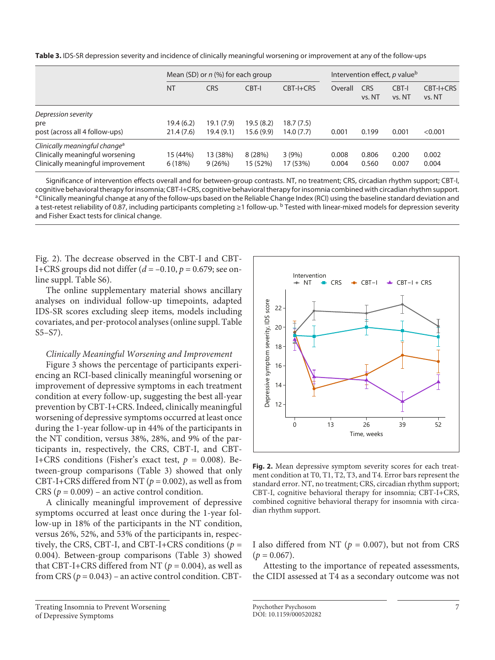**Table 3.** IDS-SR depression severity and incidence of clinically meaningful worsening or improvement at any of the follow-ups

|                                           | Mean (SD) or $n$ (%) for each group |            | Intervention effect, p value <sup>b</sup> |            |         |                      |                 |                     |
|-------------------------------------------|-------------------------------------|------------|-------------------------------------------|------------|---------|----------------------|-----------------|---------------------|
|                                           | <b>NT</b>                           | <b>CRS</b> | CBT-I                                     | CBT-I+CRS  | Overall | <b>CRS</b><br>vs. NT | CBT-I<br>vs. NT | CBT-I+CRS<br>vs. NT |
| Depression severity                       |                                     |            |                                           |            |         |                      |                 |                     |
| pre                                       | 19.4 (6.2)                          | 19.1(7.9)  | 19.5(8.2)                                 | 18.7 (7.5) |         |                      |                 |                     |
| post (across all 4 follow-ups)            | 21.4(7.6)                           | 19.4(9.1)  | 15.6(9.9)                                 | 14.0 (7.7) | 0.001   | 0.199                | 0.001           | < 0.001             |
| Clinically meaningful change <sup>a</sup> |                                     |            |                                           |            |         |                      |                 |                     |
| Clinically meaningful worsening           | 15 (44%)                            | 13 (38%)   | 8(28%)                                    | 3(9%)      | 0.008   | 0.806                | 0.200           | 0.002               |
| Clinically meaningful improvement         | 6(18%)                              | 9(26%)     | 15 (52%)                                  | 17 (53%)   | 0.004   | 0.560                | 0.007           | 0.004               |

Significance of intervention effects overall and for between-group contrasts. NT, no treatment; CRS, circadian rhythm support; CBT-I, cognitive behavioral therapy for insomnia; CBT-I+CRS, cognitive behavioral therapy for insomnia combined with circadian rhythm support.<br><sup>a</sup> Clinically meaningful change at any of the follow-ups based on the Reliable Change a test-retest reliability of 0.87, including participants completing ≥1 follow-up. b Tested with linear-mixed models for depression severity and Fisher Exact tests for clinical change.

Fig. 2). The decrease observed in the CBT-I and CBT-I+CRS groups did not differ (*d* = –0.10, *p* = 0.679; see online suppl. Table S6).

The online supplementary material shows ancillary analyses on individual follow-up timepoints, adapted IDS-SR scores excluding sleep items, models including covariates, and per-protocol analyses (online suppl. Table S5–S7).

## *Clinically Meaningful Worsening and Improvement*

Figure 3 shows the percentage of participants experiencing an RCI-based clinically meaningful worsening or improvement of depressive symptoms in each treatment condition at every follow-up, suggesting the best all-year prevention by CBT-I+CRS. Indeed, clinically meaningful worsening of depressive symptoms occurred at least once during the 1-year follow-up in 44% of the participants in the NT condition, versus 38%, 28%, and 9% of the participants in, respectively, the CRS, CBT-I, and CBT-I+CRS conditions (Fisher's exact test,  $p = 0.008$ ). Between-group comparisons (Table 3) showed that only CBT-I+CRS differed from NT ( $p = 0.002$ ), as well as from CRS  $(p = 0.009)$  – an active control condition.

A clinically meaningful improvement of depressive symptoms occurred at least once during the 1-year follow-up in 18% of the participants in the NT condition, versus 26%, 52%, and 53% of the participants in, respectively, the CRS, CBT-I, and CBT-I+CRS conditions ( $p =$ 0.004). Between-group comparisons (Table 3) showed that CBT-I+CRS differed from NT ( $p = 0.004$ ), as well as from CRS  $(p = 0.043)$  – an active control condition. CBT-





**Fig. 2.** Mean depressive symptom severity scores for each treatment condition at T0, T1, T2, T3, and T4. Error bars represent the standard error. NT, no treatment; CRS, circadian rhythm support; CBT-I, cognitive behavioral therapy for insomnia; CBT-I+CRS, combined cognitive behavioral therapy for insomnia with circadian rhythm support.

I also differed from NT ( $p = 0.007$ ), but not from CRS  $(p = 0.067)$ .

Attesting to the importance of repeated assessments, the CIDI assessed at T4 as a secondary outcome was not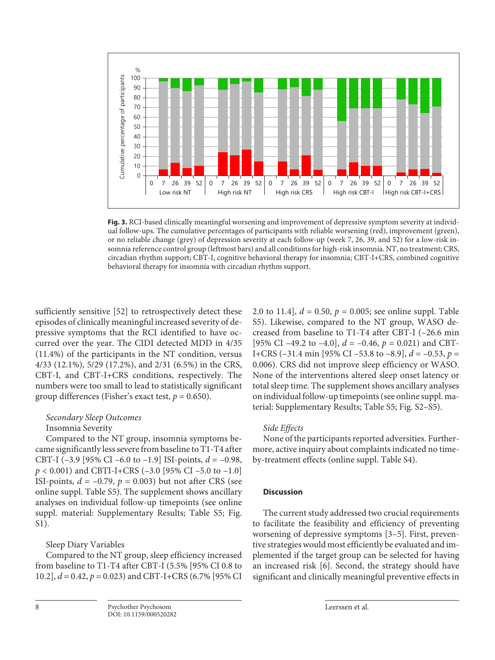

**Fig. 3.** RCI-based clinically meaningful worsening and improvement of depressive symptom severity at individual follow-ups. The cumulative percentages of participants with reliable worsening (red), improvement (green), or no reliable change (grey) of depression severity at each follow-up (week 7, 26, 39, and 52) for a low-risk insomnia reference control group (leftmost bars) and all conditions for high-risk insomnia. NT, no treatment; CRS, circadian rhythm support; CBT-I, cognitive behavioral therapy for insomnia; CBT-I+CRS, combined cognitive behavioral therapy for insomnia with circadian rhythm support.

sufficiently sensitive [52] to retrospectively detect these episodes of clinically meaningful increased severity of depressive symptoms that the RCI identified to have occurred over the year. The CIDI detected MDD in 4/35 (11.4%) of the participants in the NT condition, versus 4/33 (12.1%), 5/29 (17.2%), and 2/31 (6.5%) in the CRS, CBT-I, and CBT-I+CRS conditions, respectively. The numbers were too small to lead to statistically significant group differences (Fisher's exact test,  $p = 0.650$ ).

# *Secondary Sleep Outcomes*

# Insomnia Severity

Compared to the NT group, insomnia symptoms became significantly less severe from baseline to T1-T4 after CBT-I (–3.9 [95% CI –6.0 to –1.9] ISI-points, *d* = –0.98, *p* < 0.001) and CBTI-I+CRS (–3.0 [95% CI –5.0 to –1.0] ISI-points,  $d = -0.79$ ,  $p = 0.003$ ) but not after CRS (see online suppl. Table S5). The supplement shows ancillary analyses on individual follow-up timepoints (see online suppl. material: Supplementary Results; Table S5; Fig. S1).

# Sleep Diary Variables

Compared to the NT group, sleep efficiency increased from baseline to T1-T4 after CBT-I (5.5% [95% CI 0.8 to 10.2], *d* = 0.42, *p* = 0.023) and CBT-I+CRS (6.7% [95% CI 2.0 to 11.4],  $d = 0.50$ ,  $p = 0.005$ ; see online suppl. Table S5). Likewise, compared to the NT group, WASO decreased from baseline to T1-T4 after CBT-I (–26.6 min [95% CI –49.2 to –4.0],  $d = -0.46$ ,  $p = 0.021$ ) and CBT-I+CRS (–31.4 min [95% CI –53.8 to –8.9], *d* = –0.53, *p* = 0.006). CRS did not improve sleep efficiency or WASO. None of the interventions altered sleep onset latency or total sleep time. The supplement shows ancillary analyses on individual follow-up timepoints (see online suppl. material: Supplementary Results; Table S5; Fig. S2–S5).

# *Side Effects*

None of the participants reported adversities. Furthermore, active inquiry about complaints indicated no timeby-treatment effects (online suppl. Table S4).

# **Discussion**

The current study addressed two crucial requirements to facilitate the feasibility and efficiency of preventing worsening of depressive symptoms [3–5]. First, preventive strategies would most efficiently be evaluated and implemented if the target group can be selected for having an increased risk [6]. Second, the strategy should have significant and clinically meaningful preventive effects in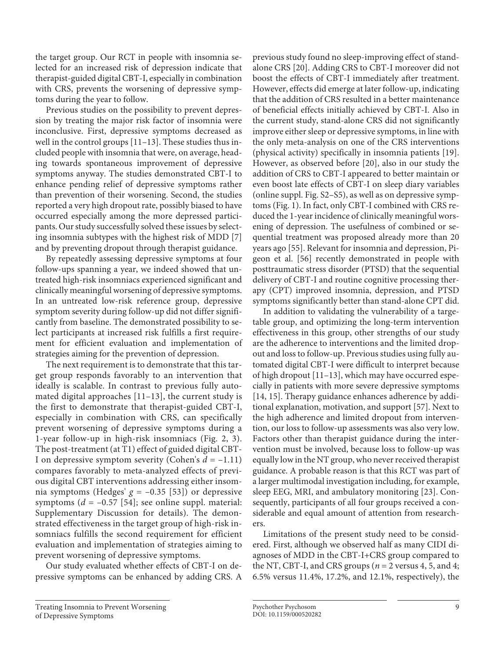the target group. Our RCT in people with insomnia selected for an increased risk of depression indicate that therapist-guided digital CBT-I, especially in combination with CRS, prevents the worsening of depressive symptoms during the year to follow.

Previous studies on the possibility to prevent depression by treating the major risk factor of insomnia were inconclusive. First, depressive symptoms decreased as well in the control groups [11–13]. These studies thus included people with insomnia that were, on average, heading towards spontaneous improvement of depressive symptoms anyway. The studies demonstrated CBT-I to enhance pending relief of depressive symptoms rather than prevention of their worsening. Second, the studies reported a very high dropout rate, possibly biased to have occurred especially among the more depressed participants. Our study successfully solved these issues by selecting insomnia subtypes with the highest risk of MDD [7] and by preventing dropout through therapist guidance.

By repeatedly assessing depressive symptoms at four follow-ups spanning a year, we indeed showed that untreated high-risk insomniacs experienced significant and clinically meaningful worsening of depressive symptoms. In an untreated low-risk reference group, depressive symptom severity during follow-up did not differ significantly from baseline. The demonstrated possibility to select participants at increased risk fulfills a first requirement for efficient evaluation and implementation of strategies aiming for the prevention of depression.

The next requirement is to demonstrate that this target group responds favorably to an intervention that ideally is scalable. In contrast to previous fully automated digital approaches [11–13], the current study is the first to demonstrate that therapist-guided CBT-I, especially in combination with CRS, can specifically prevent worsening of depressive symptoms during a 1-year follow-up in high-risk insomniacs (Fig. 2, 3). The post-treatment (at T1) effect of guided digital CBT-I on depressive symptom severity (Cohen's *d* = –1.11) compares favorably to meta-analyzed effects of previous digital CBT interventions addressing either insomnia symptoms (Hedges'  $g = -0.35$  [53]) or depressive symptoms  $(d = -0.57 \text{ [}54\text{]; see online supp. material:}$ Supplementary Discussion for details). The demonstrated effectiveness in the target group of high-risk insomniacs fulfills the second requirement for efficient evaluation and implementation of strategies aiming to prevent worsening of depressive symptoms.

Our study evaluated whether effects of CBT-I on depressive symptoms can be enhanced by adding CRS. A previous study found no sleep-improving effect of standalone CRS [20]. Adding CRS to CBT-I moreover did not boost the effects of CBT-I immediately after treatment. However, effects did emerge at later follow-up, indicating that the addition of CRS resulted in a better maintenance of beneficial effects initially achieved by CBT-I. Also in the current study, stand-alone CRS did not significantly improve either sleep or depressive symptoms, in line with the only meta-analysis on one of the CRS interventions (physical activity) specifically in insomnia patients [19]. However, as observed before [20], also in our study the addition of CRS to CBT-I appeared to better maintain or even boost late effects of CBT-I on sleep diary variables (online suppl. Fig. S2–S5), as well as on depressive symptoms (Fig. 1). In fact, only CBT-I combined with CRS reduced the 1-year incidence of clinically meaningful worsening of depression. The usefulness of combined or sequential treatment was proposed already more than 20 years ago [55]. Relevant for insomnia and depression, Pigeon et al. [56] recently demonstrated in people with posttraumatic stress disorder (PTSD) that the sequential delivery of CBT-I and routine cognitive processing therapy (CPT) improved insomnia, depression, and PTSD symptoms significantly better than stand-alone CPT did.

In addition to validating the vulnerability of a targetable group, and optimizing the long-term intervention effectiveness in this group, other strengths of our study are the adherence to interventions and the limited dropout and loss to follow-up. Previous studies using fully automated digital CBT-I were difficult to interpret because of high dropout [11–13], which may have occurred especially in patients with more severe depressive symptoms [14, 15]. Therapy guidance enhances adherence by additional explanation, motivation, and support [57]. Next to the high adherence and limited dropout from intervention, our loss to follow-up assessments was also very low. Factors other than therapist guidance during the intervention must be involved, because loss to follow-up was equally low in the NT group, who never received therapist guidance. A probable reason is that this RCT was part of a larger multimodal investigation including, for example, sleep EEG, MRI, and ambulatory monitoring [23]. Consequently, participants of all four groups received a considerable and equal amount of attention from researchers.

Limitations of the present study need to be considered. First, although we observed half as many CIDI diagnoses of MDD in the CBT-I+CRS group compared to the NT, CBT-I, and CRS groups (*n* = 2 versus 4, 5, and 4; 6.5% versus 11.4%, 17.2%, and 12.1%, respectively), the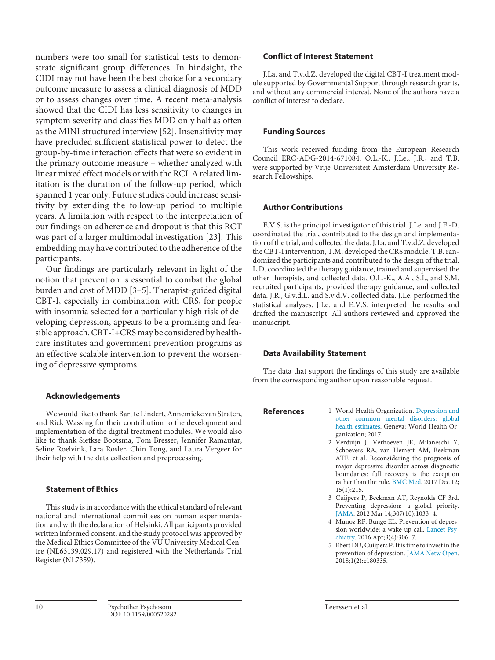numbers were too small for statistical tests to demonstrate significant group differences. In hindsight, the CIDI may not have been the best choice for a secondary outcome measure to assess a clinical diagnosis of MDD or to assess changes over time. A recent meta-analysis showed that the CIDI has less sensitivity to changes in symptom severity and classifies MDD only half as often as the MINI structured interview [52]. Insensitivity may have precluded sufficient statistical power to detect the group-by-time interaction effects that were so evident in the primary outcome measure – whether analyzed with linear mixed effect models or with the RCI. A related limitation is the duration of the follow-up period, which spanned 1 year only. Future studies could increase sensitivity by extending the follow-up period to multiple years. A limitation with respect to the interpretation of our findings on adherence and dropout is that this RCT was part of a larger multimodal investigation [23]. This embedding may have contributed to the adherence of the participants.

Our findings are particularly relevant in light of the notion that prevention is essential to combat the global burden and cost of MDD [3–5]. Therapist-guided digital CBT-I, especially in combination with CRS, for people with insomnia selected for a particularly high risk of developing depression, appears to be a promising and feasible approach. CBT-I+CRS may be considered by healthcare institutes and government prevention programs as an effective scalable intervention to prevent the worsening of depressive symptoms.

## **Acknowledgements**

We would like to thank Bart te Lindert, Annemieke van Straten, and Rick Wassing for their contribution to the development and implementation of the digital treatment modules. We would also like to thank Sietkse Bootsma, Tom Bresser, Jennifer Ramautar, Seline Roelvink, Lara Rösler, Chin Tong, and Laura Vergeer for their help with the data collection and preprocessing.

## **Statement of Ethics**

This study is in accordance with the ethical standard of relevant national and international committees on human experimentation and with the declaration of Helsinki. All participants provided written informed consent, and the study protocol was approved by the Medical Ethics Committee of the VU University Medical Centre (NL63139.029.17) and registered with the Netherlands Trial Register (NL7359).

## **Conflict of Interest Statement**

J.La. and T.v.d.Z. developed the digital CBT-I treatment module supported by Governmental Support through research grants, and without any commercial interest. None of the authors have a conflict of interest to declare.

## **Funding Sources**

This work received funding from the European Research Council ERC-ADG-2014-671084. O.L.-K., J.Le., J.R., and T.B. were supported by Vrije Universiteit Amsterdam University Research Fellowships.

## **Author Contributions**

E.V.S. is the principal investigator of this trial. J.Le. and J.F.-D. coordinated the trial, contributed to the design and implementation of the trial, and collected the data. J.La. and T.v.d.Z. developed the CBT-I intervention, T.M. developed the CRS module. T.B. randomized the participants and contributed to the design of the trial. L.D. coordinated the therapy guidance, trained and supervised the other therapists, and collected data. O.L.-K., A.A., S.I., and S.M. recruited participants, provided therapy guidance, and collected data. J.R., G.v.d.L. and S.v.d.V. collected data. J.Le. performed the statistical analyses. J.Le. and E.V.S. interpreted the results and drafted the manuscript. All authors reviewed and approved the manuscript.

## **Data Availability Statement**

The data that support the findings of this study are available from the corresponding author upon reasonable request.

- 
- **References** 1 World Health Organization. Depression and other common mental disorders: [global](https://www.karger.com/Article/FullText/520282?ref=1#ref1)  [health estimates.](https://www.karger.com/Article/FullText/520282?ref=1#ref1) Geneva: World Health Organization; 2017.
	- 2 Verduijn J, Verhoeven JE, Milaneschi Y, Schoevers RA, van Hemert AM, Beekman ATF, et al. Reconsidering the prognosis of major depressive disorder across diagnostic boundaries: full recovery is the exception rather than the rule. [BMC Med.](https://www.karger.com/Article/FullText/520282?ref=2#ref2) 2017 Dec 12; 15(1):215.
	- 3 Cuijpers P, Beekman AT, Reynolds CF 3rd. Preventing depression: a global priority. [JAMA](https://www.karger.com/Article/FullText/520282?ref=3#ref3). 2012 Mar 14;307(10):1033–4.
	- 4 Munoz RF, Bunge EL. Prevention of depression worldwide: a wake-up call. [Lancet Psy](https://www.karger.com/Article/FullText/520282?ref=4#ref4)[chiatry](https://www.karger.com/Article/FullText/520282?ref=4#ref4). 2016 Apr;3(4):306–7.
	- 5 Ebert DD, Cuijpers P. It is time to invest in the prevention of depression. [JAMA Netw Open.](https://www.karger.com/Article/FullText/520282?ref=5#ref5)  $2018;1(2):e180335.$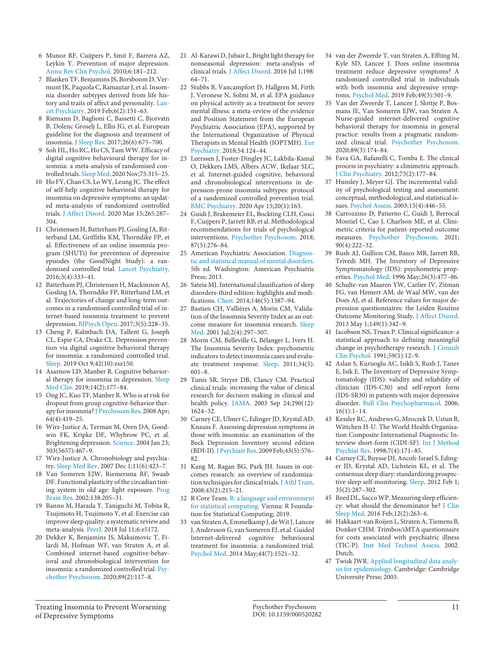- 6 Munoz RF, Cuijpers P, Smit F, Barrera AZ, Leykin Y. Prevention of major depression. [Annu Rev Clin Psychol](https://www.karger.com/Article/FullText/520282?ref=6#ref6). 2010;6:181–212.
- 7 Blanken TF, Benjamins JS, Borsboom D, Vermunt JK, Paquola C, Ramautar J, et al. Insomnia disorder subtypes derived from life history and traits of affect and personality. [Lan](https://www.karger.com/Article/FullText/520282?ref=7#ref7)[cet Psychiatry](https://www.karger.com/Article/FullText/520282?ref=7#ref7). 2019 Feb;6(2):151–63.
- 8 Riemann D, Baglioni C, Bassetti C, Bjorvatn B, Dolenc Groselj L, Ellis JG, et al. European guideline for the diagnosis and treatment of insomnia. [J Sleep Res.](https://www.karger.com/Article/FullText/520282?ref=8#ref8) 2017;26(6):675–700.
- 9 Soh HL, Ho RC, Ho CS, Tam WW. Efficacy of digital cognitive behavioural therapy for insomnia: a meta-analysis of randomised controlled trials. [Sleep Med.](https://www.karger.com/Article/FullText/520282?ref=9#ref9) 2020 Nov;75:315–25.
- 10 Ho FY, Chan CS, Lo WY, Leung JC. The effect of self-help cognitive behavioral therapy for insomnia on depressive symptoms: an updated meta-analysis of randomized controlled trials. [J Affect Disord.](https://www.karger.com/Article/FullText/520282?ref=10#ref10) 2020 Mar 15;265:287– 304.
- 11 Christensen H, Batterham PJ, Gosling JA, Ritterband LM, Griffiths KM, Thorndike FP, et al. Effectiveness of an online insomnia program (SHUTi) for prevention of depressive episodes (the GoodNight Study): a randomised controlled trial. [Lancet Psychiatry](https://www.karger.com/Article/FullText/520282?ref=11#ref11). 2016;3(4):333–41.
- 12 Batterham PJ, Christensen H, Mackinnon AJ, Gosling JA, Thorndike FP, Ritterband LM, et al. Trajectories of change and long-term outcomes in a randomised controlled trial of internet-based insomnia treatment to prevent depression. [BJPsych Open](https://www.karger.com/Article/FullText/520282?ref=12#ref12). 2017;3(5):228–35.
- 13 Cheng P, Kalmbach DA, Tallent G, Joseph CL, Espie CA, Drake CL. Depression prevention via digital cognitive behavioral therapy for insomnia: a randomized controlled trial. [Sleep.](https://www.karger.com/Article/FullText/520282?ref=13#ref13) 2019 Oct 9;42(10):zsz150.
- 14 Asarnow LD, Manber R. Cognitive behavioral therapy for insomnia in depression. [Sleep](https://www.karger.com/Article/FullText/520282?ref=14#ref14) [Med Clin.](https://www.karger.com/Article/FullText/520282?ref=14#ref14) 2019;14(2):177–84.
- 15 Ong JC, Kuo TF, Manber R. Who is at risk for dropout from group cognitive-behavior therapy for insomnia? [J Psychosom Res.](https://www.karger.com/Article/FullText/520282?ref=15#ref15) 2008 Apr; 64(4):419–25.
- 16 Wirz-Justice A, Terman M, Oren DA, Goodwin FK, Kripke DF, Whybrow PC, et al. Brightening depression. [Science.](https://www.karger.com/Article/FullText/520282?ref=16#ref16) 2004 Jan 23; 303(5657):467–9.
- 17 Wirz-Justice A. Chronobiology and psychiatry. [Sleep Med Rev](https://www.karger.com/Article/FullText/520282?ref=17#ref17). 2007 Dec 1;11(6):423–7.
- 18 Van Someren EJW, Riemersma RF, Swaab DF. Functional plasticity of the circadian timing system in old age: light exposure. [Prog](https://www.karger.com/Article/FullText/520282?ref=18#ref18) [Brain Res](https://www.karger.com/Article/FullText/520282?ref=18#ref18). 2002;138:205–31.
- 19 Banno M, Harada Y, Taniguchi M, Tobita R, Tsujimoto H, Tsujimoto Y, et al. Exercise can improve sleep quality: a systematic review and meta-analysis. [PeerJ.](https://www.karger.com/Article/FullText/520282?ref=19#ref19) 2018 Jul 11;6:e5172.
- 20 Dekker K, Benjamins JS, Maksimovic T, Filardi M, Hofman WF, van Straten A, et al. Combined internet-based cognitive-behavioral and chronobiological intervention for insomnia: a randomized controlled trial. [Psy](https://www.karger.com/Article/FullText/520282?ref=20#ref20)[chother Psychosom](https://www.karger.com/Article/FullText/520282?ref=20#ref20). 2020;89(2):117–8.
- 21 Al-Karawi D, Jubair L. Bright light therapy for nonseasonal depression: meta-analysis of clinical trials. [J Affect Disord.](https://www.karger.com/Article/FullText/520282?ref=21#ref21) 2016 Jul 1;198: 64–71.
- 22 Stubbs B, Vancampfort D, Hallgren M, Firth J, Veronese N, Solmi M, et al. EPA guidance on physical activity as a treatment for severe mental illness: a meta-review of the evidence and Position Statement from the European Psychiatric Association (EPA), supported by the International Organization of Physical Therapists in Mental Health (IOPTMH). [Eur](https://www.karger.com/Article/FullText/520282?ref=22#ref22) [Psychiatry](https://www.karger.com/Article/FullText/520282?ref=22#ref22). 2018;54:124–44.
- 23 Leerssen J, Foster-Dingley JC, Lakbila-Kamal O, Dekkers LMS, Albers ACW, Ikelaar SLC, et al. Internet-guided cognitive, behavioral and chronobiological interventions in depression-prone insomnia subtypes: protocol of a randomized controlled prevention trial. [BMC Psychiatry.](https://www.karger.com/Article/FullText/520282?ref=23#ref23) 2020 Apr 15;20(1):163.
- 24 Guidi J, Brakemeier EL, Bockting CLH, Cosci F, Cuijpers P, Jarrett RB, et al. Methodological recommendations for trials of psychological interventions. [Psychother Psychosom.](https://www.karger.com/Article/FullText/520282?ref=24#ref24) 2018; 87(5):276–84.
- 25 American Psychiatric Association. [Diagnos](https://www.karger.com/Article/FullText/520282?ref=25#ref25)[tic and statistical manual of mental disorders.](https://www.karger.com/Article/FullText/520282?ref=25#ref25) 5th ed. Washington: American Psychiatric Press; 2013.
- 26 Sateia MJ. International classification of sleep disorders-third edition: highlights and modifications. [Chest.](https://www.karger.com/Article/FullText/520282?ref=26#ref26) 2014;146(5):1387–94.
- 27 Bastien CH, Vallières A, Morin CM. Validation of the Insomnia Severity Index as an outcome measure for insomnia research. [Sleep](https://www.karger.com/Article/FullText/520282?ref=27#ref27) [Med.](https://www.karger.com/Article/FullText/520282?ref=27#ref27) 2001 Jul;2(4):297–307.
- 28 Morin CM, Belleville G, Bélanger L, Ivers H. The Insomnia Severity Index: psychometric indicators to detect insomnia cases and evaluate treatment response. [Sleep](https://www.karger.com/Article/FullText/520282?ref=28#ref28). 2011;34(5): 601–8.
- 29 Tunis SR, Stryer DB, Clancy CM. Practical clinical trials: increasing the value of clinical research for decision making in clinical and health policy. [JAMA.](https://www.karger.com/Article/FullText/520282?ref=29#ref29) 2003 Sep 24;290(12): 1624–32.
- 30 Carney CE, Ulmer C, Edinger JD, Krystal AD, Knauss F. Assessing depression symptoms in those with insomnia: an examination of the Beck Depression Inventory second edition (BDI-II). [J Psychiatr Res](https://www.karger.com/Article/FullText/520282?ref=30#ref30). 2009 Feb;43(5):576– 82.
- 31 Kang M, Ragan BG, Park JH. Issues in outcomes research: an overview of randomization techniques for clinical trials. [J Athl Train.](https://www.karger.com/Article/FullText/520282?ref=31#ref31) 2008;43(2):215–21.
- 32 R Core Team. R: [a language and environment](https://www.karger.com/Article/FullText/520282?ref=32#ref32) [for statistical computing.](https://www.karger.com/Article/FullText/520282?ref=32#ref32) Vienna: R Foundation for Statistical Computing; 2019.
- 33 van Straten A, Emmelkamp J, de Wit J, Lancee J, Andersson G, van Someren EJ, et al. Guided Internet-delivered cognitive behavioural treatment for insomnia: a randomized trial. [Psychol Med](https://www.karger.com/Article/FullText/520282?ref=33#ref33). 2014 May;44(7):1521–32.
- 34 van der Zweerde T, van Straten A, Effting M, Kyle SD, Lancee J. Does online insomnia treatment reduce depressive symptoms? A randomized controlled trial in individuals with both insomnia and depressive symptoms. [Psychol Med.](https://www.karger.com/Article/FullText/520282?ref=34#ref34) 2019 Feb;49(3):501–9.
- Van der Zweerde T, Lancee J, Slottje P, Bosmans JE, Van Someren EJW, van Straten A. Nurse-guided internet-delivered cognitive behavioral therapy for insomnia in general practice: results from a pragmatic randomized clinical trial. [Psychother Psychosom.](https://www.karger.com/Article/FullText/520282?ref=35#ref35) 2020;89(3):174–84.
- 36 Fava GA, Rafanelli C, Tomba E. The clinical process in psychiatry: a clinimetric approach. [J Clin Psychiatry](https://www.karger.com/Article/FullText/520282?ref=36#ref36). 2012;73(2):177–84.
- 37 Hunsley J, Meyer GJ. The incremental validity of psychological testing and assessment: conceptual, methodological, and statistical issues. [Psychol Assess](https://www.karger.com/Article/FullText/520282?ref=37#ref37). 2003;15(4):446–55.
- 38 Carrozzino D, Patierno C, Guidi J, Berrocal Montiel C, Cao J, Charlson ME, et al. Clinimetric criteria for patient-reported outcome measures. [Psychother Psychosom.](https://www.karger.com/Article/FullText/520282?ref=38#ref38) 2021; 90(4):222–32.
- 39 Rush AJ, Gullion CM, Basco MR, Jarrett RB, Trivedi MH. The Inventory of Depressive Symptomatology (IDS): psychometric properties. [Psychol Med](https://www.karger.com/Article/FullText/520282?ref=39#ref39). 1996 May;26(3):477–86.
- 40 Schulte-van Maaren YW, Carlier IV, Zitman FG, van Hemert AM, de Waal MW, van der Does AJ, et al. Reference values for major depression questionnaires: the Leiden Routine Outcome Monitoring Study. [J Affect Disord.](https://www.karger.com/Article/FullText/520282?ref=40#ref40) 2013 May 1;149(1):342–9.
- Jacobson NS, Truax P. Clinical significance: a statistical approach to defining meaningful change in psychotherapy research. [J Consult](https://www.karger.com/Article/FullText/520282?ref=41#ref41)  [Clin Psychol.](https://www.karger.com/Article/FullText/520282?ref=41#ref41) 1991;59(1):12–9.
- 42 Aslan S, Kuruoglu AC, Isikli S, Rush J, Taner E, Isik E. The Inventory of Depressive Symptomatology (IDS): validity and reliability of clinician (IDS-C30) and self-report form (IDS-SR30) in patients with major depressive disorder. [Bull Clin Psychopharmacol.](https://www.karger.com/Article/FullText/520282?ref=42#ref42) 2006;  $16(1):1-14.$
- 43 Kessler RC, Andrews G, Mroczek D, Ustun B, Wittchen H-U. The World Health Organization Composite International Diagnostic Interview short-form (CIDI-SF). [Int J Method](https://www.karger.com/Article/FullText/520282?ref=43#ref43)  [Psychiat Res](https://www.karger.com/Article/FullText/520282?ref=43#ref43). 1998;7(4):171–85.
- 44 Carney CE, Buysse DJ, Ancoli-Israel S, Edinger JD, Krystal AD, Lichstein KL, et al. The consensus sleep diary: standardizing prospective sleep self-monitoring. [Sleep](https://www.karger.com/Article/FullText/520282?ref=44#ref44). 2012 Feb 1; 35(2):287–302.
- 45 Reed DL, Sacco WP. Measuring sleep efficiency: what should the denominator be? [J Clin](https://www.karger.com/Article/FullText/520282?ref=45#ref45)  [Sleep Med](https://www.karger.com/Article/FullText/520282?ref=45#ref45). 2016 Feb;12(2):263–6.
- 46 Hakkaart-van Roijen L, Straten A, Tiemens B, Donker CHM. Trimbos/iMTA questionnaire for costs associated with psychiatric illness (TIC-P). [Inst Med Technol Assess](https://www.karger.com/Article/FullText/520282?ref=46#ref46). 2002. Dutch.
- 47 Twisk JWR. [Applied longitudinal data analy](https://www.karger.com/Article/FullText/520282?ref=47#ref47)[sis for epidemiology.](https://www.karger.com/Article/FullText/520282?ref=47#ref47) Cambridge: Cambridge University Press; 2003.

Treating Insomnia to Prevent Worsening of Depressive Symptoms